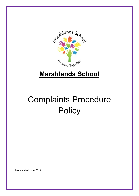

# **Marshlands School**

# Complaints Procedure **Policy**

Last updated: May 2019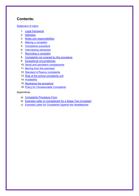# **Contents:**

#### **[Statement of intent](#page-18-0)**

- 1. [Legal framework](#page-2-0)
- 2. [Definition](#page-3-0)
- 3. [Roles and responsibilities](#page-3-1)
- 4. [Making a complaint](#page-6-0)
- 5. [Complaints procedure](#page-7-0)
- 6. [Interviewing witnesses](#page-9-0)
- 7. [Recording a complaint](#page-9-1)
- 8. [Complaints not covered by this procedure](#page-10-0)
- 9. [Exceptional circumstances](#page-11-0)
- 10. [Serial and persistent complainants](#page-11-1)
- 11. [Barring from the premises](#page-12-0)
- 12. [Standard of fluency complaints](#page-12-1)
- 13. [Role of the school complaints unit](#page-13-0)
- 14. [Availability](#page-14-0)
- 15. [Reviewing the procedure](#page-14-1)
- 16. Policy for Unreasonable Complaints

#### Appendices

- a) [Complaints Procedure Form](#page-16-0)
- b) [Example Letter to Complainant for a Stage Two](#page-17-0) Complaint
- c) [Example Letter for Complaints Against the Headteacher](#page-18-1)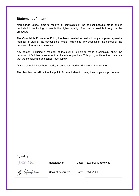#### **Statement of intent**

Marshlands School aims to resolve all complaints at the earliest possible stage and is dedicated to continuing to provide the highest quality of education possible throughout the procedure.

The Complaints Procedures Policy has been created to deal with any complaint against a member of staff or the school as a whole, relating to any aspects of the school or the provision of facilities or services.

Any person, including a member of the public, is able to make a complaint about the provision of facilities or services that the school provides. This policy outlines the procedure that the complainant and school must follow.

Once a complaint has been made, it can be resolved or withdrawn at any stage.

The Headteacher will be the first point of contact when following the complaints procedure.

Signed by:

<span id="page-2-0"></span>

Headteacher Date: 22/05/2019 reviewed

Kallis

Chair of governors Date: 24/05/2018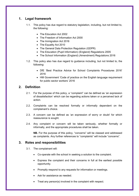# **1. Legal framework**

- 1.1. This policy has due regard to statutory legislation, including, but not limited to, the following:
	- The Education Act 2002
	- The Freedom of Information Act 2000
	- The Immigration Act 2016
	- The Equality Act 2010
	- The General Data Protection Regulation (GDPR)
	- The Education (Pupil Information) (England) Regulations 2005
	- The School Information (England) (Amendment) Regulations 2016
- 1.2. This policy also has due regard to guidance including, but not limited to, the following:
	- DfE 'Best Practice Advice for School Complaints Procedures 2016' 2016
	- HM Government 'Code of practice on the English language requirement for public sector workers' 2016

#### <span id="page-3-0"></span>**2. Definition**

- 2.1. For the purpose of this policy, a "complaint" can be defined as 'an expression of dissatisfaction' which can be regarding actions taken or a perceived lack of action.
- 2.2. Complaints can be resolved formally or informally dependent on the complainant's choice.
- 2.3. A concern can be defined as 'an expression of worry or doubt' for which reassurance is sought.
- 2.4. Any complaint or concern will be taken seriously, whether formally or informally, and the appropriate procedures shall be taken.

**NB.** For the purpose of this policy, "concerns" will be classed and addressed as complaints. Any further references to "complaints" will include "concerns".

#### <span id="page-3-1"></span>**3. Roles and responsibilities**

- 3.1. The complainant will:
	- Co-operate with the school in seeking a solution to the complaint.
	- Express the complaint and their concerns in full at the earliest possible opportunity.
	- Promptly respond to any requests for information or meetings.
	- Ask for assistance as needed.
	- Treat any person(s) involved in the complaint with respect.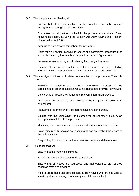- 3.2. The complaints co-ordinator will:
	- Ensure that all parties involved in the complaint are fully updated throughout each stage of the procedure.
	- Guarantee that all parties involved in the procedure are aware of any relevant legislation, including the Equality Act 2010, GDPR and Freedom of Information Act 2000.
	- Keep up-to-date records throughout the procedure.
	- Liaise with all parties involved to ensure the complaints procedure runs smoothly, including the headteacher, clerk and chair of governors.
	- Be aware of issues in regards to sharing third party information.
	- Understand the complainant's need for additional support, including interpretation support, and will be aware of any issues concerning this.
- 3.3. The investigator is involved in stages one and two of the procedure. Their role includes:
	- Providing a sensitive and thorough interviewing process of the complainant in order to establish what has happened and who is involved.
	- Considering all records, evidence and relevant information provided.
	- Interviewing all parties that are involved in the complaint, including staff and children.
	- Analysing all information in a comprehensive and fair manner.
	- Liaising with the complainant and complaints co-ordinator to clarify an appropriate resolution to the problem.
	- Identifying and recommending solutions and courses of actions to take.
	- Being mindful of timescales and ensuring all parties involved are aware of these timescales.
	- Responding to the complainant in a clear and understandable manner.
- 3.4. The panel chair will:
	- Ensure that the meeting is minuted.
	- Explain the remit of the panel to the complainant.
	- Ensure that all issues are addressed and that outcomes are reached based on facts and evidence.
	- Help to put at ease and console individuals involved who are not used to speaking at such hearings, particularly any children involved.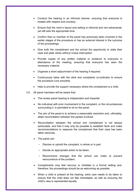- Conduct the hearing in an informal manner, ensuring that everyone is treated with respect and courtesy.
- Ensure that the room's layout and setting is informal and non-adversarial, yet still sets the appropriate tone.
- Confirm that no member of the panel has previously been involved in the earlier stages of the procedure or has an external interest in the outcome of the proceedings.
- Give both the complainant and the school the opportunity to state their case and seek clarity without undue interruption.
- Provide copies of any written material or evidence to everyone in attendance of the meeting, ensuring that everyone has seen the necessary material.
- Organise a short adjournment of the hearing if required.
- Continuously liaise with the clerk and complaints co-ordinator to ensure the procedure runs smoothly.
- Help to provide the support necessary where the complainant is a child.
- 3.5. All panel members will be aware that:
	- The review panel hearing is independent and impartial.
	- No individual with prior involvement in the complaint, or the circumstances surrounding it, is permitted to sit on the panel.
	- The aim of the panel is to achieve a reasonable resolution and, ultimately, attain reconciliation between the parties involved.
	- Reconciliation between the school and complainant is not always achievable, and that it may only be possible to establish facts and make recommendations to reassure the complainant that their case has been taken seriously.
	- The panel can:
		- − Dismiss or uphold the complaint, in whole or in part.
		- − Decide on appropriate action to be taken.
		- − Recommend changes that the school can make to prevent reoccurrence of the problem.
	- Complainants may feel nervous or inhibited in a formal setting and, therefore, the proceedings should be as welcoming as possible.
	- When a child is present at the hearing, extra care needs to be taken to ensure that the child does not feel intimidated, as well as ensuring the child's view is represented equally.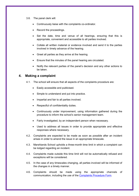#### 3.6. The panel clerk will:

- Continuously liaise with the complaints co-ordinator.
- Record the proceedings.
- Set the date, time and venue of all hearings, ensuring that this is appropriate, convenient and accessible to all parties involved.
- Collate all written material or evidence involved and send it to the parties involved in timely advance of the hearing.
- Greet all parties as they arrive at the hearing.
- Ensure that the minutes of the panel hearing are circulated.
- Notify the relevant parties of the panel's decision and any other actions to be taken.

#### <span id="page-6-0"></span>**4. Making a complaint**

- 4.1. The school will ensure that all aspects of the complaints procedure are:
	- Easily accessible and publicised.
	- Simple to understand and put into practice.
	- Impartial and fair to all parties involved.
	- Respectful of confidentiality duties.
	- Continuously under improvement, using information gathered during the procedure to inform the school's senior management team.
	- Fairly investigated, by an independent person when necessary.
	- Used to address all issues in order to provide appropriate and effective responses where necessary.
- 4.2. Complaints are expected to be made as soon as possible after an incident arises in order to amend the issue in an appropriate timescale.
- 4.3. Marshlands School upholds a three-month time limit in which a complaint can be lodged regarding an incident.
- 4.4. Complaints made outside this time limit will not be automatically refused and exceptions will be considered.
- 4.5. In the case of any timescales changing, all parties involved will be informed of the changes in a timely manner.
- 4.6. Complaints should be made using the appropriate channels of communication, including the use of the [Complaints Procedure Form.](#page-16-0)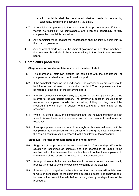- All complaints shall be considered whether made in person, by telephone, in writing or electronically via email.
- 4.7. A complaint can progress to the next stage of the procedure even if it is not viewed as "justified". All complainants are given the opportunity to fully complete the complaints procedure.
- 4.8. Any complaint made against the headteacher shall be initially dealt with by the chair of governors.
- 4.9. Any complaint made against the chair of governors or any other member of the governing board should be made in writing to the clerk to the governing board.

#### <span id="page-7-0"></span>**5. Complaints procedure**

#### **Stage one – Informal complaint made to a member of staff**

- 5.1. The member of staff can discuss the complaint with the headteacher or complaints co-ordinator in order to seek support.
- 5.2. If the complaint concerns the headteacher, the complaints co-ordinator should be informed and will need to handle the complaint. The complainant can then be referred to the chair of the governing board.
- 5.3. In case a complaint is made initially to a governor, the complainant should be referred to the appropriate person. The governor in question should not act alone on a complaint outside the procedure; if they do, they cannot be involved if the complaint is subject to a hearing at a later stage of the procedure.
- 5.4. Within 15 school days, the complainant and the relevant member of staff should discuss the issue in a respectful and informal manner to seek a mutual resolution.
- 5.5. If an appropriate resolution cannot be sought at this informal level, or if the complainant is dissatisfied with the outcome following the initial discussions, the complainant may wish to proceed to the next level of the procedure.

#### **Stage two – Formal complaint made to the headteacher**

- 5.6. Stage two of the process will be completed within 15 school days. Where the situation is recognised as complex, and it is deemed to be unable to be resolved within this timescale, the headteacher will contact the complainant to inform them of the revised target date via a written notification.
- 5.7. An appointment with the headteacher should be made, as soon as reasonably practical, in order to avoid any possible worsening of the situation.
- 5.8. If the complaint is against the headteacher, the complainant will initially need to write, in confidence, to the chair of the governing board. The chair will seek to resolve the issue informally before moving directly to stage three of the procedure.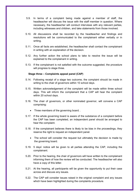- 5.9. In terms of a complaint being made against a member of staff, the headteacher will discuss the issue with the staff member in question. Where necessary, the headteacher will conduct interviews with any relevant parties, including witnesses and children, and take statements from those involved.
- 5.10. All discussions shall be recorded by the headteacher and findings and resolutions will be communicated to the complainant either verbally or in writing.
- 5.11. Once all facts are established, the headteacher shall contact the complainant in writing with an explanation of the decision.
- 5.12. Any further action the school plans to take to resolve the issue will be explained to the complainant in writing.
- 5.13. If the complainant is not satisfied with the outcome suggested, the procedure will progress to stage three.

#### **Stage three – Complaints appeal panel (CAP)**

- 5.14. Following receipt of a stage two outcome, the complaint should be made in writing to the chair of governors within 10 school days.
- 5.15. Written acknowledgement of the complaint will be made within three school days. This will inform the complainant that a CAP will hear the complaint within 20 school days.
- 5.16. The chair of governors, or other nominated governor, will convene a CAP comprising:
	- Three members of the governing board. .
- 5.17. If the whole governing board is aware of the substance of a complaint before the CAP has been completed, an independent panel should be arranged to hear the complaint.
- 5.18. If the complainant believes there is likely to be bias in the proceedings, they reserve the right to request an independent panel.
	- The school will consider the request but ultimately the decision is made by the governing board.
- 5.19. 5 days' notice will be given to all parties attending the CAP, including the complainant.
- 5.20. Prior to the hearing, the chair of governors will have written to the complainant informing them of how the review will be conducted. The headteacher will also have a copy of this letter.
- 5.21. At the hearing, all participants will be given the opportunity to put their case across and discuss any issues.
- 5.22. The CAP will consider issues raised in the original complaint and any issues which have been highlighted during the complaints procedure.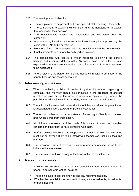5.23. The meeting should allow for:

- The complainant to be present and accompanied at the hearing if they wish.
- The complainant to explain their complaint and the headteacher to explain the reasons for their decision.
- The complainant to question the headteacher, and vice versa, about the complaint.
- Any evidence, including witnesses who have been prior approved by the chair of the CAP, to be questioned.
- Members of the CAP to question both the complainant and the headteacher.
- Final statements to be made by both parties involved.
- 5.24. The complainant will receive a written response explaining the panel's findings and recommendations within 15 school days. This letter will also explain whether there are any further rights of appeal and to whom they need to be addressed.
- 5.25. Where relevant, the person complained about will receive a summary of the panel's findings and recommendations.

#### <span id="page-9-0"></span>**6. Interviewing witnesses**

- 6.1. When interviewing children in order to gather information regarding a complaint, the interview should be conducted in the presence of another member of staff or, in the case of serious complaints, e.g. where the possibility of criminal investigation exists, in the presence of their parents.
- 6.2. The school will ensure that the conduction of interviews does not prejudice an LA designated officer's (LADO), or police, investigation.
- 6.3. The school understands the importance of ensuring a friendly and relaxed area which is free from intimidation.
- 6.4. All children interviewed will be made fully aware of what the interview concerns and their right to have someone with them.
- 6.5. Staff are allowed a colleague to support them at their interview. The colleague must not be anyone likely to be interviewed themselves, including their line manager.
- 6.6. The interviewer will not express opinions in words or attitude, so as to not influence the interviewee.
- 6.7. The interviewee will sign a copy of the transcription of the interview.

#### <span id="page-9-1"></span>**7. Recording a complaint**

- 7.1. A written record shall be kept of any complaint made, whether made via phone, in person or in writing, detailing:
	- The main issues raised, the findings and any recommendations.
	- Whether the complaint was resolved following an informal route, formal route or panel hearing.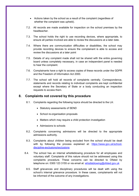- Actions taken by the school as a result of the complaint (regardless of whether the complaint was upheld).
- 7.2. All records are made available for inspection on the school premises by the headteacher.
- 7.3. The school holds the right to use recording devices, where appropriate, to ensure all parties involved are able to review the discussions at a later date.
- 7.4. Where there are communication difficulties or disabilities, the school may provide recording devices to ensure the complainant is able to access and review the discussions at a later point
- 7.5. Details of any complaint made shall not be shared with the entire governing board unless completely necessary, in case an independent panel is needed to hear the complaint.
- 7.6. Complainants have a right to access copies of these records under the GDPR and the Freedom of Information Act 2000.
- 7.7. The school will hold all records of complaints centrally. Correspondence, statements and records relating to individual complaints are kept confidential except where the Secretary of State or a body conducting an inspection requests to access them.

#### <span id="page-10-0"></span>**8. Complaints not covered by this procedure**

- 8.1. Complaints regarding the following topics should be directed to the LA:
	- Statutory assessments of SEND
	- School re-organisation proposals
	- Matters which may require a child protection investigation
	- Admissions to schools
- 8.2. Complaints concerning admissions will be directed to the appropriate admissions authority.
- 8.3. Complaints about children being excluded from the school should be dealt with by following the process explained at: [https://www.gov.uk/school](https://www.gov.uk/school-discipline-exclusions/exclusions)[discipline-exclusions/exclusions](https://www.gov.uk/school-discipline-exclusions/exclusions)
- 8.4. The school has an internal whistleblowing procedure for all employees and voluntary staff. Complaints of this nature should not be addressed using this complaints procedure. These concerns can be directed to Ofsted by telephone on: 0300 123 3155 or via email at: [whistleblowing@ofsted.gov.uk](mailto:whistleblowing@ofsted.gov.uk)
	- 8.5. Staff grievances and disciplinary procedures will be dealt with using the school's internal grievance procedure. In these cases, complainants will not be informed of the outcome of any investigations.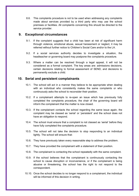8.6. This complaints procedure is not to be used when addressing any complaints made about services provided by a third party who may use the school premises or facilities. All complaints concerning this should be directed to the service provider.

#### <span id="page-11-0"></span>**9. Exceptional circumstances**

- 9.1. If the complaint suggests that a child has been at risk of significant harm through violence, emotional abuse, sexual harassment or neglect, it may be referred without further notice to Children's Social Care and/or to the LA.
- 9.2. If a social services authority decides to investigate a situation, the headteacher or governing board may postpone the complaints procedure.
- 9.3. Where a matter can be resolved through a legal appeal, it will not be considered as a formal complaint. The key areas are: admissions decisions, certain decisions relating to formal assessment of SEND, and decisions to permanently exclude a child.

#### <span id="page-11-1"></span>**10. Serial and persistent complainants**

- 10.1. The school will act in a manner they believe to be appropriate when dealing with an individual who consistently makes the same complaints or who continuously asks the school to reconsider their position.
- 10.2. If a complainant attempts to re-open an issue which has previously fully completed the complaints procedure, the chair of the governing board will inform the complainant that the matter is now closed.
- 10.3. If the complainant contacts the school regarding the same issue again, the complaint may be classed as 'serial' or 'persistent' and the school does not have an obligation to respond.
- 10.4. The school must ensure that a complaint is not classed as 'serial' before they have fully completed the complaints procedure.
- 10.5. The school will not take the decision to stop responding to an individual lightly. The school will ensure that:
- 10.6. They have previously taken every reasonable step to address the problem.
- 10.7. They have provided the complainant with a statement of their position.
- 10.8. The complainant is contacting the school repeatedly with the same complaint.
- 10.9. If the school believes that the complainant is continuously contacting the school to cause disruption or inconvenience, or if the complainant is being abusive or threatening, the school has the right to not respond to the correspondent.
- 10.10. Once the school decides to no longer respond to a complainant, the individual will be informed of this decision in writing.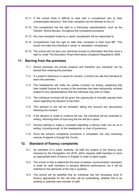- 10.11. If the school finds it difficult to deal with a complainant due to their unreasonable behaviour, then their complaint can be directed to the LA.
- 10.12. The complainant has the right to a third-party representative, such as the Citizens' Advice Bureau, throughout the complaints procedure.
- 10.13. Any new complaint made by a 'serial' complainant will be responded to.
- 10.14. Complainants hold the right to refer their complaint to their local MP. This would not make the individual a 'serial' or 'persistent' complainant.
- 10.15. The school will not deny any individual access to information that they have a right to under The Education (Pupil Information) (England) Regulations 2005.

#### <span id="page-12-0"></span>**11. Barring from the premises**

- 11.1. School premises are private property and therefore any individual can be barred from entering the premises.
- 11.2. If a parent's behaviour is cause for concern, a school can ask the individual to leave the premises.
- 11.3. The headteacher will notify the parties involved via writing, explaining that their implied licence for access to the premises has been temporarily revoked subject to any representations that the individual may wish to make.
- 11.4. The individual involved will be given the opportunity to formally express their views regarding the decision to bar them.
- 11.5. This decision to bar will be reviewed, taking into account any discussions following the incident.
- 11.6. If the decision is made to continue the bar, the individual will be contacted in writing, informing them of how long the bar will be in place.
- 11.7. Anyone wishing to make a complaint regarding a barring order can do so in writing, including email, to the headteacher or chair of governors.
- 11.8. Once the school's complaints procedure is completed, the only remaining avenue of appeal is through the Courts.

#### <span id="page-12-1"></span>**12. Standard of fluency complaints**

- 12.1. As members of a public authority, all staff are subject to the fluency duty imposed by the Immigration Act 2016, which requires staff members to have an appropriate level of fluency in English in order to teach pupils.
- 12.2. The school is free to determine the level of spoken communication necessary in order for staff members to develop effective performance, but it will be matched to the demands of the role in question.
- 12.3. The school will be satisfied that an individual has the necessary level of fluency appropriate for the role they will be undertaking, whether this is an existing or potential new member of staff.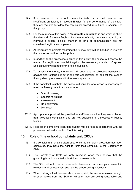- 12.4. If a member of the school community feels that a staff member has insufficient proficiency in spoken English for the performance of their role, they are required to follow the complaints procedure outlined in [section 5](#page-7-0) of this policy.
- 12.5. For the purpose of this policy, a **"legitimate complaint"** is one which is about the standard of spoken English of a member of staff; complaints regarding an individual's accent, dialect, manner or tone of communication are not considered legitimate complaints.
- 12.6. All legitimate complaints regarding the fluency duty will be handled in line with the processes outlined in this policy.
- 12.7. In addition to the processes outlined in this policy, the school will assess the merits of a legitimate complaint against the necessary standard of spoken English fluency required for the role in question.
- 12.8. To assess the merits, the school will undertake an objective assessment against clear criteria set out in the role specification or, against the level of fluency descriptors relevant to the role in question.
- 12.9. If the complaint is upheld, the school will consider what action is necessary to meet the fluency duty; this may include:
	- Specific training
	- Specific re-training
	- Assessment
	- Re-deployment
	- Dismissal
- 12.10. Appropriate support will be provided to staff to ensure that they are protected from vexatious complaints and are not subjected to unnecessary fluency testing.
- 12.11. Records of complaints regarding fluency will be kept in accordance with the processes outlined in [section 7](#page-9-1) of this policy.

#### <span id="page-13-0"></span>**13. Role of the school complaints unit (SCU)**

- 13.1. If a complainant remains dissatisfied once the complaint procedure has been completed, they have the right to refer their complaint to the Secretary of **State**
- 13.2. The Secretary of State will only intervene when they believe that the governing board has acted unlawfully or unreasonably.
- 13.3. The SCU will not overturn a school's decision about a complaint except in exceptional circumstances, such as the school acting unlawfully.
- 13.4. When making a final decision about a complaint, the school reserves the right to seek advice from the SCU on whether they are acting reasonably and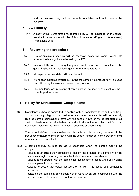lawfully; however, they will not be able to advise on how to resolve the complaint.

### <span id="page-14-0"></span>**14. Availability**

14.1. A copy of this Complaints Procedures Policy will be published on the school website in accordance with the School Information (England) (Amendment) Regulations 2016.

# <span id="page-14-1"></span>**15. Reviewing the procedure**

- 15.1. The complaints procedure will be reviewed every two years, taking into account the latest guidance issued by the DfE.
- 15.2. Responsibility for reviewing the procedure belongs to a committee of the governing board, an individual governor or the headteacher.
- 15.3. All projected review dates will be adhered to.
- 15.4. Information gathered through reviewing the complaints procedure will be used to continuously improve and develop the process.
- 15.5. The monitoring and reviewing of complaints will be used to help evaluate the school's performance.

# **16. Policy for Unreasonable Complainants**

16.1 Marshlands School is committed to dealing with all complaints fairly and impartially, and to providing a high quality service to those who complain. We will not normally limit the contact complainants have with the school; however, we do not expect our staff to tolerate unacceptable behaviour and will take action to protect staff from that behaviour, including that which is abusive, offensive or threatening.

The school defines unreasonable complainants as 'those who, because of the frequency or nature of their contacts with the school, hinder our consideration of their or other people's complaints'.

- 16.2 A complaint may be regarded as unreasonable when the person making the complaint:
	- Refuses to articulate their complaint or specify the grounds of a complaint or the outcomes sought by raising the complaint, despite offers of assistance.
	- Refuses to co-operate with the complaints investigation process while still wishing their complaint to be resolved.
	- Refuses to accept that certain issues are not within the scope of a complaints procedure.
	- Insists on the complaint being dealt with in ways which are incompatible with the adopted complaints procedure or with good practice.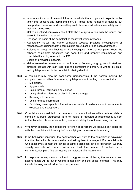- Introduces trivial or irrelevant information which the complainant expects to be taken into account and commented on, or raises large numbers of detailed but unimportant questions, and insists they are fully answered, often immediately and to their own timescales.
- Makes unjustified complaints about staff who are trying to deal with the issues, and seeks to have them replaced.
- Changes the basis of the complaint as the investigation proceeds.
- Repeatedly makes the same complaint (despite previous investigations or responses concluding that the complaint is groundless or has been addressed).
- Refuses to accept the findings of the investigation into that complaint where the school's complaints procedure has been fully and properly implemented and completed including referral to the DfE.
- Seeks an unrealistic outcome.
- Makes excessive demands on school time by frequent, lengthy, complicated and stressful contact with staff regarding the complaint in person, in writing, by email and by telephone while the complaint is being dealt with.
- 16.3 A complaint may also be considered unreasonable if the person making the complaint does so either face-to-face, by telephone or in writing or electronically:
	- Maliciously
	- Aggressively
	- Using threats, intimidation or violence
	- Using abusive, offensive or discriminatory language
	- Knowing it to be false
	- Using falsified information
	- Publishing unacceptable information in a variety of media such as in social media websites and newspapers
- 16.4 Complainants should limit the numbers of communications with a school while a complaint is being progressed. It is not helpful if repeated correspondence is sent (either by letter, phone, email or text) as it could delay the outcome being reached.
- 16.5 Whenever possible, the headteacher or chair of governors will discuss any concerns with the complainant informally before applying an 'unreasonable' marking.
- 16.6 If the behaviour continues, the headteacher will write to the complainant explaining that their behaviour is unreasonable and asking them to change it. For complainants who excessively contact the school causing a significant level of disruption, we may specify methods of communication and limit the number of contacts in a communication plan. This will usually be reviewed after six months.
- 16.7 In response to any serious incident of aggression or violence, the concerns and actions taken will be put in writing immediately and the police informed. This may include banning an individual from the premises.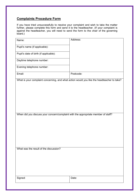# <span id="page-16-0"></span>**Complaints Procedure Form**

If you have tried unsuccessfully to resolve your complaint and wish to take the matter further, please complete this form and send it to the headteacher. (If your complaint is against the headteacher, you will need to send the form to the chair of the governing board.)

| Name:                                                                                      | Address:  |
|--------------------------------------------------------------------------------------------|-----------|
| Pupil's name (if applicable):                                                              |           |
| Pupil's date of birth (if applicable):                                                     |           |
| Daytime telephone number:                                                                  |           |
| Evening telephone number:                                                                  |           |
| Email:                                                                                     | Postcode: |
| What is your complaint concerning, and what action would you like the headteacher to take? |           |
|                                                                                            |           |
|                                                                                            |           |
|                                                                                            |           |
|                                                                                            |           |
|                                                                                            |           |
| When did you discuss your concern/complaint with the appropriate member of staff?          |           |
|                                                                                            |           |
|                                                                                            |           |
|                                                                                            |           |
|                                                                                            |           |
|                                                                                            |           |
| What was the result of the discussion?                                                     |           |
|                                                                                            |           |
|                                                                                            |           |
|                                                                                            |           |
|                                                                                            |           |
| Signed:                                                                                    | Date:     |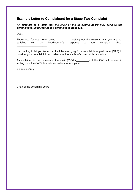# <span id="page-17-0"></span>**Example Letter to Complainant for a Stage Two Complaint**

*An example of a letter that the chair of the governing board may send to the complainant, upon receipt of a complaint at stage two.*

Dear,

Thank you for your letter dated setting out the reasons why you are not satisfied with the headteacher's response to your complaint about \_\_\_\_\_\_\_\_\_\_\_\_\_\_\_\_\_\_\_\_\_.

I am writing to let you know that I will be arranging for a complaints appeal panel (CAP) to consider your complaint, in accordance with our school's complaints procedure.

As explained in the procedure, the chair (Mr/Mrs ) of the CAP will advise, in writing, how the CAP intends to consider your complaint.

Yours sincerely,

Chair of the governing board